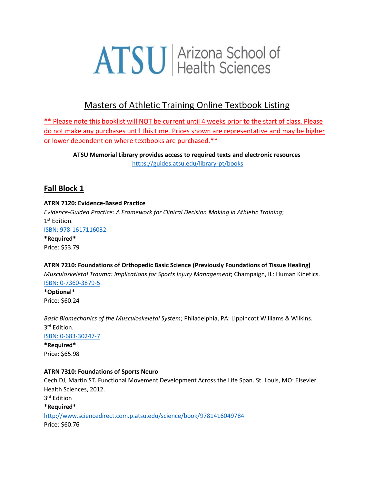# **ATSU** Arizona School of

## Masters of Athletic Training Online Textbook Listing

\*\* Please note this booklist will NOT be current until 4 weeks prior to the start of class. Please do not make any purchases until this time. Prices shown are representative and may be higher or lower dependent on where textbooks are purchased.\*\*

**ATSU Memorial Library provides access to required texts and electronic resources** <https://guides.atsu.edu/library-pt/books>

## **Fall Block 1**

#### **ATRN 7120: Evidence-Based Practice**

*Evidence-Guided Practice: A Framework for Clinical Decision Making in Athletic Training*; 1 st Edition. [ISBN: 978-1617116032](https://www.amazon.com/Evidence-Guided-Practice-Framework-Clinical-Decision/dp/1617116033) **\*Required\***

Price: \$53.79

## **ATRN 7210: Foundations of Orthopedic Basic Science (Previously Foundations of Tissue Healing)**

*Musculoskeletal Trauma: Implications for Sports Injury Management*; Champaign, IL: Human Kinetics. [ISBN: 0-7360-3879-5](https://www.amazon.com/Musculoskeletal-Trauma-Implications-Sports-Management/dp/0736038795/ref=sr_1_1?s=books&ie=UTF8&qid=1506540834&sr=1-1&keywords=9780736038799)

**\*Optional\*** Price: \$60.24

*Basic Biomechanics of the Musculoskeletal System*; Philadelphia, PA: Lippincott Williams & Wilkins. 3 rd Edition.

[ISBN: 0-683-30247-7](https://www.amazon.com/gp/search?index=books&linkCode=qs&keywords=9780683302479)

**\*Required\*** Price: \$65.98

#### **ATRN 7310: Foundations of Sports Neuro**

Cech DJ, Martin ST. Functional Movement Development Across the Life Span. St. Louis, MO: Elsevier Health Sciences, 2012.

3 rd Edition

**\*Required\*** <http://www.sciencedirect.com.p.atsu.edu/science/book/9781416049784> Price: \$60.76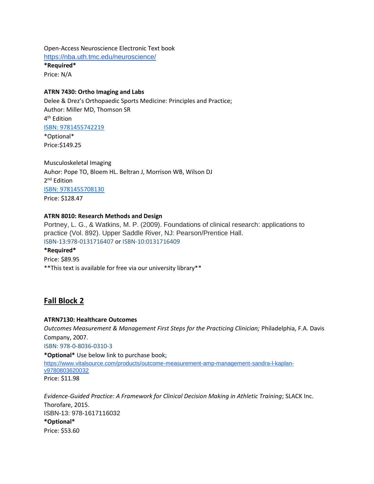Open-Access Neuroscience Electronic Text book <https://nba.uth.tmc.edu/neuroscience/>

**\*Required\*** Price: N/A

#### **ATRN 7430: Ortho Imaging and Labs**

Delee & Drez's Orthopaedic Sports Medicine: Principles and Practice; Author: Miller MD, Thomson SR 4<sup>th</sup> Edition [ISBN: 9781455742219](https://www.amazon.com/s?k=9781455742219&ref=nb_sb_noss) \*Optional\*

Price:\$149.25

Musculoskeletal Imaging Auhor: Pope TO, Bloem HL. Beltran J, Morrison WB, Wilson DJ 2<sup>nd</sup> Edition [ISBN: 9781455708130](https://www.amazon.com/s?k=9781455708130&ref=nb_sb_noss) Price: \$128.47

#### **ATRN 8010: Research Methods and Design**

Portney, L. G., & Watkins, M. P. (2009). Foundations of clinical research: applications to practice (Vol. 892). Upper Saddle River, NJ: Pearson/Prentice Hall. ISBN-13:978-0131716407 or ISBN-10:0131716409

#### **\*Required\***

Price: \$89.95 \*\*This text is available for free via our university library\*\*

## **Fall Block 2**

#### **ATRN7130: Healthcare Outcomes**

*Outcomes Measurement & Management First Steps for the Practicing Clinician;* Philadelphia, F.A. Davis Company, 2007.

ISBN: 978-0-8036-0310-3

**\*Optional\*** Use below link to purchase book;

[https://www.vitalsource.com/products/outcome-measurement-amp-management-sandra-l-kaplan](https://www.vitalsource.com/products/outcome-measurement-amp-management-sandra-l-kaplan-v9780803620032)[v9780803620032](https://www.vitalsource.com/products/outcome-measurement-amp-management-sandra-l-kaplan-v9780803620032) Price: \$11.98

*Evidence-Guided Practice: A Framework for Clinical Decision Making in Athletic Training*; SLACK Inc. Thorofare, 2015. ISBN-13: 978-1617116032 **\*Optional\*** Price: \$53.60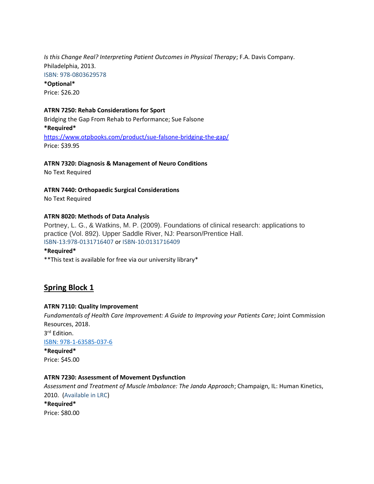*Is this Change Real? Interpreting Patient Outcomes in Physical Therapy*; F.A. Davis Company. Philadelphia, 2013. ISBN: 978-0803629578 **\*Optional\***

Price: \$26.20

#### **ATRN 7250: Rehab Considerations for Sport**

Bridging the Gap From Rehab to Performance; Sue Falsone **\*Required\*** <https://www.otpbooks.com/product/sue-falsone-bridging-the-gap/> Price: \$39.95

#### **ATRN 7320: Diagnosis & Management of Neuro Conditions**

No Text Required

**ATRN 7440: Orthopaedic Surgical Considerations**

No Text Required

#### **ATRN 8020: Methods of Data Analysis**

Portney, L. G., & Watkins, M. P. (2009). Foundations of clinical research: applications to practice (Vol. 892). Upper Saddle River, NJ: Pearson/Prentice Hall. ISBN-13:978-0131716407 or ISBN-10:0131716409

#### **\*Required\***

\*\*This text is available for free via our university library\*

## **Spring Block 1**

#### **ATRN 7110: Quality Improvement**

*Fundamentals of Health Care Improvement: A Guide to Improving your Patients Care*; Joint Commission Resources, 2018. 3 rd Edition.

[ISBN: 978-1-63585-037-6](https://www.amazon.com/s/ref=nb_sb_noss?url=search-alias%3Daps&field-keywords=ISBN+978-1-63585-037-6)

**\*Required\*** Price: \$45.00

#### **ATRN 7230: Assessment of Movement Dysfunction**

*Assessment and Treatment of Muscle Imbalance: The Janda Approach*; Champaign, IL: Human Kinetics, 2010. (Available in LRC) **\*Required\*** Price: \$80.00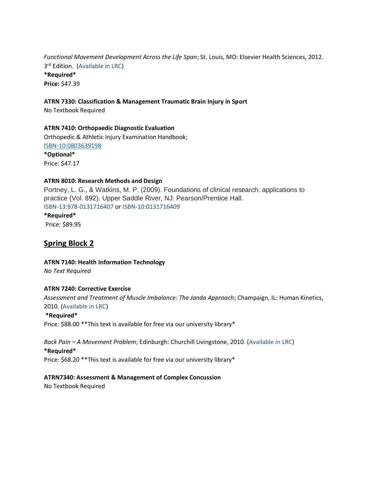*Functional Movement Development Across the Life Span*; St. Louis, MO: Elsevier Health Sciences, 2012. 3 rd Edition. (Available in LRC)

**\*Required\* Price:** \$47.39

#### **ATRN 7330: Classification & Management Traumatic Brain Injury in Sport**

No Textbook Required

#### **ATRN 7410: Orthopaedic Diagnostic Evaluation**

Orthopedic & Athletic Injury Examination Handbook; [ISBN-10:0803639198](https://www.amazon.com/Orthopedic-Athletic-Injury-Examination-Handbook/dp/0803639198/ref=sr_1_1?dchild=1&keywords=ISBN-10%3A0803639198&qid=1590677161&sr=8-1)

**\*Optional\*** Price: \$47.17

#### **ATRN 8010: Research Methods and Design**

Portney, L. G., & Watkins, M. P. (2009). Foundations of clinical research: applications to practice (Vol. 892). Upper Saddle River, NJ: Pearson/Prentice Hall. ISBN-13:978-0131716407 or ISBN-10:0131716409

## **\*Required\***

Price: \$89.95

## **Spring Block 2**

#### **ATRN 7140: Health Information Technology**

*No Text Required*

#### **ATRN 7240: Corrective Exercise**

*Assessment and Treatment of Muscle Imbalance: The Janda Approach*; Champaign, IL: Human Kinetics, 2010. (Available in LRC)

#### **\*Required\***

Price: \$88.00 \*\*This text is available for free via our university library\*

#### *Back Pain – A Movement Problem*; Edinburgh: Churchill Livingstone, 2010. (Available in LRC)

#### **\*Required\***

Price: \$68.20 \*\*This text is available for free via our university library\*

#### **ATRN7340: Assessment & Management of Complex Concussion**

No Textbook Required